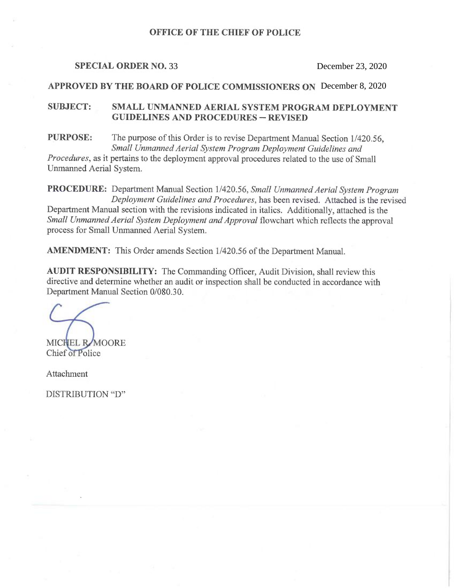### OFFICE OF THE CHIEF OF POLICE

#### SPECIAL ORDER NO. 33

# SPECIAL ORDER NO. 33 December 23, 2020<br>APPROVED BY THE BOARD OF POLICE COMMISSIONERS ON December 8, 2020

# SUBJECT: SMALL UNMANNED AERIAL SYSTEM PROGRAM DEPLOYMENT GUIDELINES AND PROCEDURES —REVISED

<sup>P</sup>URPOSE: The purpose of this Order is to revise Department Manual Section 1/420.56, Small Unmanned Aerial System Program Deployment Guidelines and

<sup>P</sup>rocedures, as it pertains to the deployment approval procedures related to the use of Small Unmanned Aerial System.

<sup>P</sup>ROCEDURE: Department Manual Section 1/420.56, Small Unmanned Aerial System Program Deployment Guidelines and Procedures, has been revised. Attached is the revised <sup>D</sup>epartment Manual section with the revisions indicated in italics. Additionally, attached is the <sup>S</sup>mall Unmanned Aerial System Deployment and Approval flowchart which reflects the approval process for Small Unmanned Aerial System.

<sup>A</sup>MENDMENT: This Order amends Section 1/420.56 of the Department Manual.

<sup>A</sup>UDIT RESPONSIBILITY: The Commanding Officer, Audit Division, shall review this directive and determine whether an audit or inspection shall be conducted in accordance with Department Manual Section 0/080.30.

MICHEL RAMOORE Chief of Police

Attachment

DISTRIBUTION "D"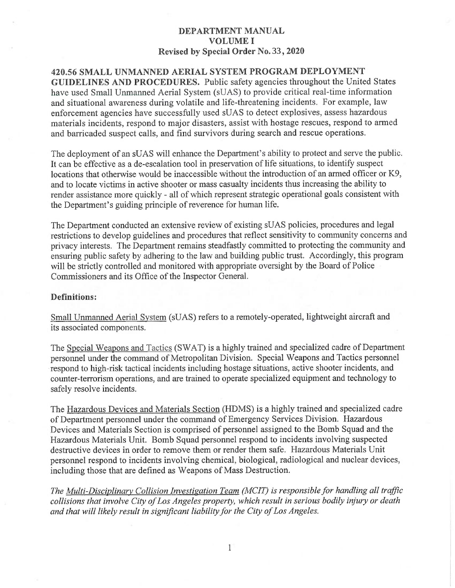420.56 SMALL UNMANNED AERIAL SYSTEM PROGRAM DEPLOYMENT GUIDELINES AND PROCEDURES. Public safety agencies throughout the United States have used Small Unmanned Aerial System (sUAS) to provide critical real-time information and situational awareness during volatile and life-threatening incidents. For example, law enforcement agencies have successfully used sUAS to detect explosives, assess hazardous materials incidents, respond to major disasters, assist with hostage rescues, respond to armed and barricaded suspect calls, and find survivors during search and rescue operations.

The deployment of an sUAS will enhance the Department's ability to protect and serve the public. It can be effective as a de-escalation tool in preservation of life situations, to identify suspect locations that otherwise would be inaccessible without the introduction of an armed officer or K9, and to locate victims in active shooter or mass casualty incidents thus increasing the ability to render assistance more quickly - all of which represent strategic operational goals consistent with the Department's guiding principle of reverence for human life.

The Department conducted an extensive review of existing sUAS policies, procedures and legal restrictions to develop guidelines and procedures that reflect sensitivity to community concerns and privacy interests. The Department remains steadfastly committed to protecting the community and ensuring public safety by adhering to the law and building public trust. Accordingly, this program will be strictly controlled and monitored with appropriate oversight by the Board of Police Commissioners and its Office of the Inspector General.

#### Definitions:

Small Unmanned Aerial System (sUAS) refers to aremotely-operated, lightweight aircraft and its associated components.

The Special Weapons and Tactics (SWAT) is a highly trained and specialized cadre of Department personnel under the command of Metropolitan Division. Special Weapons and Tactics personnel respond to high-risk tactical incidents including hostage situations, active shooter incidents, and counter-terrorism operations, and are trained to operate specialized equipment and technology to safely resolve incidents.

The Hazardous Devices and Materials Section (HDMS) is a highly trained and specialized cadre of Department personnel under the command of Emergency Services Division. Hazardous Devices and Materials Section is comprised of personnel assigned to the Bomb Squad and the Hazardous Materials Unit. Bomb Squad personnel respond to incidents involving suspected destructive devices in order to remove them or render them safe. Hazardous Materials Unit personnel respond to incidents involving chemical, biological, radiological and nuclear devices, including those that are defined as Weapons of Mass Destruction.

The Multi-Disciplinary Collision Investigation Team (MCIT) is responsible for handling all traffic collisions that involve City of Los Angeles property, which result in serious bodily injury or death and that will likely result in significant liability for the City of Los Angeles.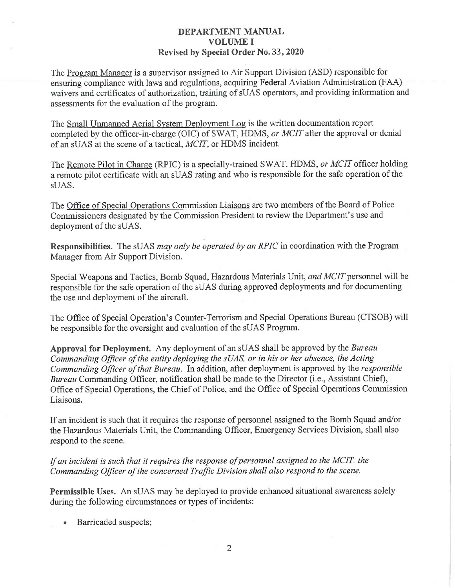<sup>T</sup>he Program Manager is a supervisor assigned to Air Support Division (ASD) responsible for <sup>e</sup>nsuring compliance with laws and regulations, acquiring Federal Aviation Administration (FAA) <sup>w</sup>aivers and certificates of authorization, training of sUAS operators, and providing information and <sup>a</sup>ssessments for the evaluation of the program.

<sup>T</sup>he Small Unmanned Aerial Svstem Deployment Log is the written documentation report <sup>c</sup>ompleted by the officer-in-charge (OIC) of SWAT, HDMS, or MCIT after the approval or denial <sup>o</sup>f an sUAS at the scene of a tactical, MCIT, or HDMS incident.

The Remote Pilot in Charge (RPIC) is a specially-trained SWAT, HDMS, or MCIT officer holding <sup>a</sup> remote pilot certificate with an sUAS rating and who is responsible for the safe operation of the sUAS.

<sup>T</sup>he Office of Special Operations Commission Liaisons are two members of the Board of Police <sup>C</sup>ommissioners designated by the Commission President to review the Department's use and deployment of the sUAS.

Responsibilities. The sUAS *may only be operated by an RPIC* in coordination with the Program <sup>M</sup>anager from Air Support Division.

<sup>S</sup>pecial Weapons and Tactics, Bomb Squad, Hazardous Materials Unit, and MCIT personnel will be <sup>r</sup>esponsible for the safe operation of the sUAS during approved deployments and for documenting <sup>t</sup>he use and deployment of the aircraft.

<sup>T</sup>he Office of Special Operation's Counter-Terrorism and Special Operations Bureau (CTSOB) will be responsible for the oversight and evaluation of the sUAS Program.

Approval for Deployment. Any deployment of an sUAS shall be approved by the Bureau <sup>C</sup>ommanding Officer of the entity deploying the sUAS, or in his or her absence, the Acting <sup>C</sup>ommanding Officer of that Bureau. In addition, after deployment is approved by the responsible Bureau Commanding Officer, notification shall be made to the Director (i.e., Assistant Chief), <sup>O</sup>ffice of Special Operations, the Chief of Police, and the Office of Special Operations Commission Liaisons.

<sup>I</sup>f an incident is such that it requires the response of personnel assigned to the Bomb Squad and/or <sup>t</sup>he Hazardous Materials Unit, the Commanding Officer, Emergency Services Division, shall also <sup>r</sup>espond to the scene.

### <sup>I</sup>f an incident is such that it requires the response of personnel assigned to the MCIT, the <sup>C</sup>ommanding Officer of the concerned Traffic Division shall also respond to the scene.

<sup>P</sup>ermissible Uses. An sUAS may be deployed to provide enhanced situational awareness solely during the following circumstances or types of incidents:

•Barricaded suspects;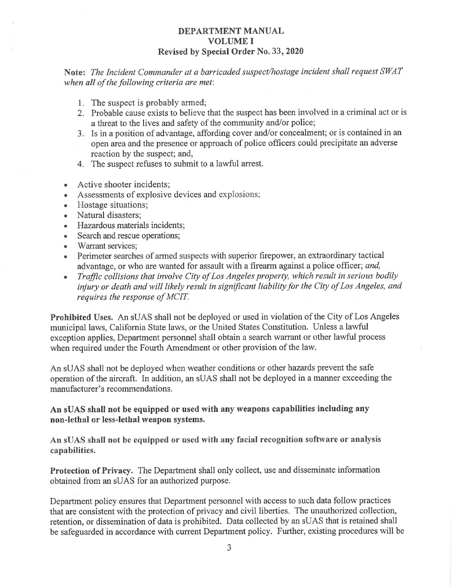<sup>N</sup>ote: The Incident Commander at a barricaded suspect/hostage incident shall request SWAT when all of the following criteria are met:

- 1. The suspect is probably armed;
- 2. Probable cause exists to believe that the suspect has been involved in a criminal act or is <sup>a</sup> threat to the lives and safety of the community and/or police;
- <sup>3</sup>. Is in a position of advantage, affording cover and/or concealment; or is contained in an <sup>o</sup>pen area and the presence or approach of police officers could precipitate an adverse <sup>r</sup>eaction by the suspect; and,
- 4. The suspect refuses to submit to a lawful arrest.
- •Active shooter incidents;
- •Assessments of explosive devices and explosions;
- •Hostage situations;
- •Natural disasters;
- •Hazardous materials incidents;
- •Search and rescue operations;
- •Warrant services;
- • Perimeter searches of armed suspects with superior firepower, an extraordinary tactical <sup>a</sup>dvantage, or who are wanted for assault with a firearm against a police officer; and,
- • Traffic collisions that involve City of Los Angeles property, which result in serious bodily injury or death and will likely result in significant liability for the City of Los Angeles, and <sup>r</sup>equires the response of MCIT.

<sup>P</sup>rohibited Uses. An sUAS shall not be deployed or used in violation of the City of Los Angeles <sup>m</sup>unicipal laws, California State laws, or the United States Constitution. Unless a lawful <sup>e</sup>xception applies, Department personnel shall obtain a search warrant or other lawful process <sup>w</sup>hen required under the Fourth Amendment or other provision of the law.

<sup>A</sup>n sUAS shall not be deployed when weather conditions or other hazards prevent the safe <sup>o</sup>peration of the aircraft. In addition, an sUAS shall not be deployed in a manner exceeding the <sup>m</sup>anufacturer's recommendations.

#### <sup>A</sup>n sUAS shall not be equipped or used with any weapons capabilities including any <sup>n</sup>on-lethal or less-lethal weapon systems.

<sup>A</sup>n sUAS shall not be equipped or used with any facial recognition software or analysis <sup>c</sup>apabilities.

<sup>P</sup>rotection of Privacy. The Department shall only collect, use and disseminate information <sup>o</sup>btained from an sUAS for an authorized purpose.

<sup>D</sup>epartment policy ensures that Department personnel with access to such data follow practices <sup>t</sup>hat are consistent with the protection of privacy and civil liberties. The unauthorized collection, <sup>r</sup>etention, or dissemination of data is prohibited. Data collected by an sUAS that is retained shall <sup>b</sup>e safeguarded in accordance with current Department policy. Further, existing procedures will be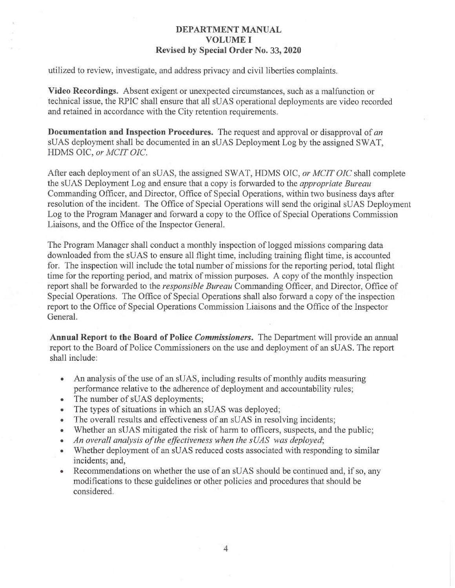utilized to review, investigate, and address privacy and civil liberties complaints.

Video Recordings. Absent exigent or unexpected circumstances, such as a malfunction or technical issue, the RPIC shall ensure that all sUAS operational deployments are video recorded and retained in accordance with the City retention requirements.

**Documentation and Inspection Procedures.** The request and approval or disapproval of an sUAS deployment shall be documented in an sUAS Deployment Log by the assigned SWAT, HDMS OIC, or MCIT OIC.

After each deployment of an sUAS, the assigned SWAT, HDMS OIC, or MCIT OIC shall complete the sUAS Deployment Log and ensure that a copy is forwarded to the appropriate Bureau Commanding Officer, and Director, Office of Special Operations, within two business days after resolution of the incident. The Office of Special Operations will send the original sUAS Deployment Log to the Program Manager and forward a copy to the Office of Special Operations Commission Liaisons, and the Office of the Inspector General.

The Program Manager shall conduct a monthly inspection of logged missions comparing data downloaded from the sUAS to ensure all flight time, including training flight time, is accounted for. The inspection will include the total number of missions for the reporting period, total flight time for the reporting period, and matrix of mission purposes. A copy of the monthly inspection report shall be forwarded to the *responsible Bureau* Commanding Officer, and Director, Office of Special Operations. The Office of Special Operations shall also forward a copy of the inspection report to the Office of Special Operations Commission Liaisons and the Office of the Inspector General.

Annual Report to the Board of Police *Commissioners*. The Department will provide an annual report to the Board of Police Commissioners on the use and deployment of an sUAS. The report shall include:

- An analysis of the use of an sUAS, including results of monthly audits measuring performance relative to the adherence of deployment and accountability rules;
- The number of sUAS deployments;
- The types of situations in which an sUAS was deployed;
- The overall results and effectiveness of an sUAS in resolving incidents;
- Whether an sUAS mitigated the risk of harm to officers, suspects, and the public;
- An overall analysis of the effectiveness when the sUAS was deployed;
- Whether deployment of an sUAS reduced costs associated with responding to similar incidents; and,
- Recommendations on whether the use of an sUAS should be continued and, if so, any modifications to these guidelines or other policies and procedures that should be considered.